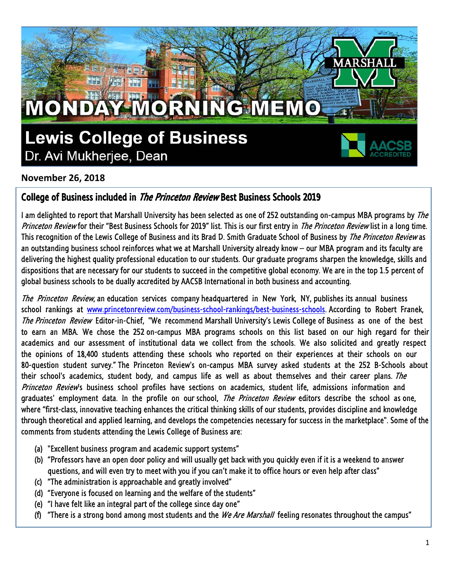

## **November 26, 2018**

## College of Business included in The Princeton Review Best Business Schools 2019

I am delighted to report that Marshall University has been selected as one of 252 outstanding on-campus MBA programs by The Princeton Review for their "Best Business Schools for 2019" list. This is our first entry in The Princeton Review list in a long time. This recognition of the Lewis College of Business and its Brad D. Smith Graduate School of Business by The Princeton Review as an outstanding business school reinforces what we at Marshall University already know – our MBA program and its faculty are delivering the highest quality professional education to our students. Our graduate programs sharpen the knowledge, skills and dispositions that are necessary for our students to succeed in the competitive global economy. We are in the top 1.5 percent of global business schools to be dually accredited by AACSB International in both business and accounting.

The Princeton Review, an education services company headquartered in New York, NY, publishes its annual business school rankings at [www.princetonreview.com/business-school-rankings/best-business-schools.](http://www.princetonreview.com/business-school-rankings/best-business-schools) According to Robert Franek, The Princeton Review Editor-in-Chief, "We recommend Marshall University's Lewis College of Business as one of the best to earn an MBA. We chose the 252 on-campus MBA programs schools on this list based on our high regard for their academics and our assessment of institutional data we collect from the schools. We also solicited and greatly respect the opinions of 18,400 students attending these schools who reported on their experiences at their schools on our 80-question student survey." The Princeton Review's on-campus MBA survey asked students at the 252 B-Schools about their school's academics, student body, and campus life as well as about themselves and their career plans. The Princeton Review's business school profiles have sections on academics, student life, admissions information and graduates' employment data. In the profile on our school, *The Princeton Review* editors describe the school as one, where "first-class, innovative teaching enhances the critical thinking skills of our students, provides discipline and knowledge through theoretical and applied learning, and develops the competencies necessary for success in the marketplace". Some of the comments from students attending the Lewis College of Business are:

- (a) "Excellent business program and academic support systems"
- (b) "Professors have an open door policy and will usually get back with you quickly even if it is a weekend to answer questions, and will even try to meet with you if you can't make it to office hours or even help after class"
- (c) "The administration is approachable and greatly involved"
- (d) "Everyone is focused on learning and the welfare of the students"
- (e) "I have felt like an integral part of the college since day one"
- (f) "There is a strong bond among most students and the We Are Marshall feeling resonates throughout the campus"